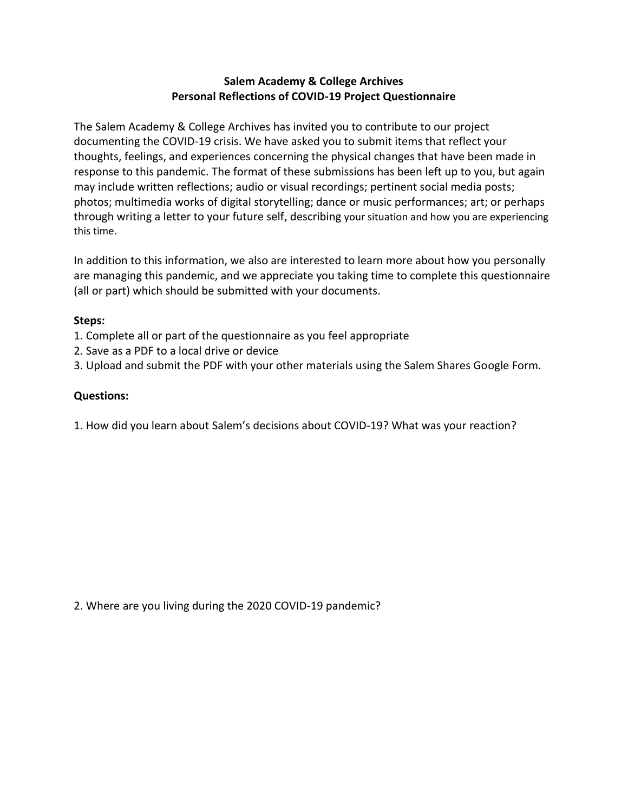## **Salem Academy & College Archives Personal Reflections of COVID-19 Project Questionnaire**

The Salem Academy & College Archives has invited you to contribute to our project documenting the COVID-19 crisis. We have asked you to submit items that reflect your thoughts, feelings, and experiences concerning the physical changes that have been made in response to this pandemic. The format of these submissions has been left up to you, but again may include written reflections; audio or visual recordings; pertinent social media posts; photos; multimedia works of digital storytelling; dance or music performances; art; or perhaps through writing a letter to your future self, describing your situation and how you are experiencing this time.

In addition to this information, we also are interested to learn more about how you personally are managing this pandemic, and we appreciate you taking time to complete this questionnaire (all or part) which should be submitted with your documents.

## **Steps:**

- 1. Complete all or part of the questionnaire as you feel appropriate
- 2. Save as a PDF to a local drive or device
- 3. Upload and submit the PDF with your other materials using the Salem Shares Google Form.

## **Questions:**

1. How did you learn about Salem's decisions about COVID-19? What was your reaction?

2. Where are you living during the 2020 COVID-19 pandemic?